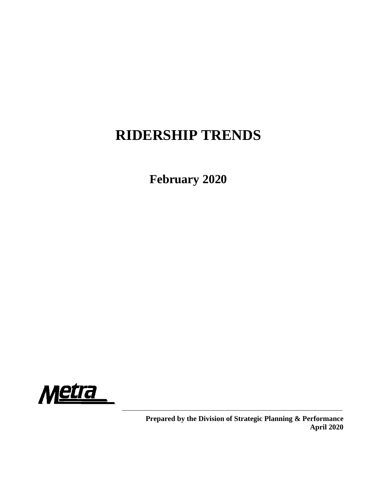# **RIDERSHIP TRENDS**

**February 2020**



**Prepared by the Division of Strategic Planning & Performance April 2020**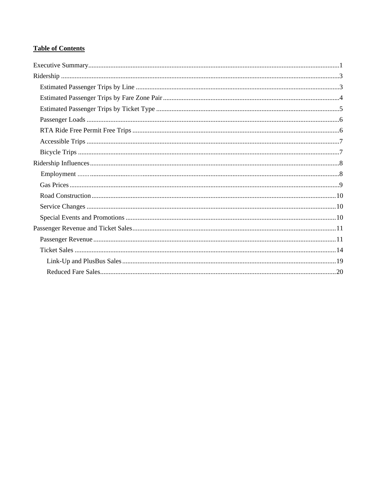# **Table of Contents**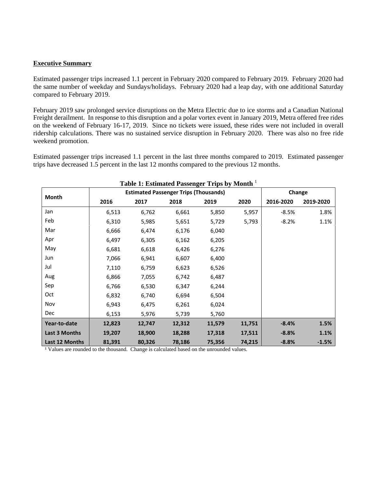#### **Executive Summary**

Estimated passenger trips increased 1.1 percent in February 2020 compared to February 2019. February 2020 had the same number of weekday and Sundays/holidays. February 2020 had a leap day, with one additional Saturday compared to February 2019.

February 2019 saw prolonged service disruptions on the Metra Electric due to ice storms and a Canadian National Freight derailment. In response to this disruption and a polar vortex event in January 2019, Metra offered free rides on the weekend of February 16-17, 2019. Since no tickets were issued, these rides were not included in overall ridership calculations. There was no sustained service disruption in February 2020. There was also no free ride weekend promotion.

Estimated passenger trips increased 1.1 percent in the last three months compared to 2019. Estimated passenger trips have decreased 1.5 percent in the last 12 months compared to the previous 12 months.

| Table 1: Estimated Passenger Trips by Month <sup>1</sup> |        |                                              |        |        |        |           |           |  |  |  |  |  |
|----------------------------------------------------------|--------|----------------------------------------------|--------|--------|--------|-----------|-----------|--|--|--|--|--|
|                                                          |        | <b>Estimated Passenger Trips (Thousands)</b> |        |        |        | Change    |           |  |  |  |  |  |
| Month                                                    | 2016   | 2017                                         | 2018   | 2019   | 2020   | 2016-2020 | 2019-2020 |  |  |  |  |  |
| Jan                                                      | 6,513  | 6,762                                        | 6,661  | 5,850  | 5,957  | $-8.5%$   | 1.8%      |  |  |  |  |  |
| Feb                                                      | 6,310  | 5,985                                        | 5,651  | 5,729  | 5,793  | $-8.2%$   | 1.1%      |  |  |  |  |  |
| Mar                                                      | 6,666  | 6,474                                        | 6,176  | 6,040  |        |           |           |  |  |  |  |  |
| Apr                                                      | 6,497  | 6,305                                        | 6,162  | 6,205  |        |           |           |  |  |  |  |  |
| May                                                      | 6,681  | 6,618                                        | 6,426  | 6,276  |        |           |           |  |  |  |  |  |
| Jun                                                      | 7,066  | 6,941                                        | 6,607  | 6,400  |        |           |           |  |  |  |  |  |
| Jul                                                      | 7,110  | 6,759                                        | 6,623  | 6,526  |        |           |           |  |  |  |  |  |
| Aug                                                      | 6,866  | 7,055                                        | 6,742  | 6,487  |        |           |           |  |  |  |  |  |
| Sep                                                      | 6,766  | 6,530                                        | 6,347  | 6,244  |        |           |           |  |  |  |  |  |
| Oct                                                      | 6,832  | 6,740                                        | 6,694  | 6,504  |        |           |           |  |  |  |  |  |
| Nov                                                      | 6,943  | 6,475                                        | 6,261  | 6,024  |        |           |           |  |  |  |  |  |
| <b>Dec</b>                                               | 6,153  | 5,976                                        | 5,739  | 5,760  |        |           |           |  |  |  |  |  |
| Year-to-date                                             | 12,823 | 12,747                                       | 12,312 | 11,579 | 11,751 | $-8.4%$   | 1.5%      |  |  |  |  |  |
| <b>Last 3 Months</b>                                     | 19,207 | 18,900                                       | 18,288 | 17,318 | 17,511 | $-8.8%$   | 1.1%      |  |  |  |  |  |
| Last 12 Months                                           | 81,391 | 80,326                                       | 78,186 | 75,356 | 74,215 | $-8.8%$   | $-1.5%$   |  |  |  |  |  |

**Table 1: Estimated Passenger Trips by Month** <sup>1</sup>

<sup>1</sup> Values are rounded to the thousand. Change is calculated based on the unrounded values.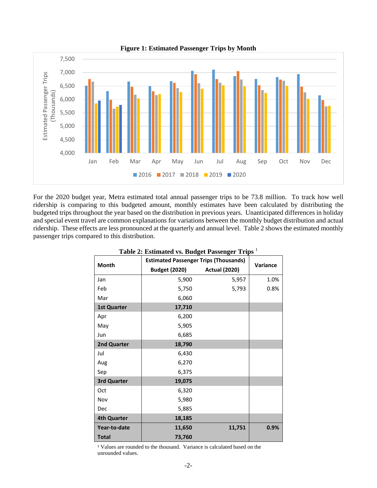

For the 2020 budget year, Metra estimated total annual passenger trips to be 73.8 million. To track how well ridership is comparing to this budgeted amount, monthly estimates have been calculated by distributing the budgeted trips throughout the year based on the distribution in previous years. Unanticipated differences in holiday and special event travel are common explanations for variations between the monthly budget distribution and actual ridership. These effects are less pronounced at the quarterly and annual level. Table 2 shows the estimated monthly passenger trips compared to this distribution.

| Table 2. Estimated vs. Duuget I assenger Trips |                                              |                      |          |  |  |  |  |  |  |  |  |  |
|------------------------------------------------|----------------------------------------------|----------------------|----------|--|--|--|--|--|--|--|--|--|
| Month                                          | <b>Estimated Passenger Trips (Thousands)</b> |                      | Variance |  |  |  |  |  |  |  |  |  |
|                                                | <b>Budget (2020)</b>                         | <b>Actual (2020)</b> |          |  |  |  |  |  |  |  |  |  |
| Jan                                            | 5,900                                        | 5,957                | 1.0%     |  |  |  |  |  |  |  |  |  |
| Feb                                            | 5,750                                        | 5,793                | 0.8%     |  |  |  |  |  |  |  |  |  |
| Mar                                            | 6,060                                        |                      |          |  |  |  |  |  |  |  |  |  |
| <b>1st Quarter</b>                             | 17,710                                       |                      |          |  |  |  |  |  |  |  |  |  |
| Apr                                            | 6,200                                        |                      |          |  |  |  |  |  |  |  |  |  |
| May                                            | 5,905                                        |                      |          |  |  |  |  |  |  |  |  |  |
| Jun                                            | 6,685                                        |                      |          |  |  |  |  |  |  |  |  |  |
| 2nd Quarter                                    | 18,790                                       |                      |          |  |  |  |  |  |  |  |  |  |
| Jul                                            | 6,430                                        |                      |          |  |  |  |  |  |  |  |  |  |
| Aug                                            | 6,270                                        |                      |          |  |  |  |  |  |  |  |  |  |
| Sep                                            | 6,375                                        |                      |          |  |  |  |  |  |  |  |  |  |
| 3rd Quarter                                    | 19,075                                       |                      |          |  |  |  |  |  |  |  |  |  |
| Oct                                            | 6,320                                        |                      |          |  |  |  |  |  |  |  |  |  |
| Nov                                            | 5,980                                        |                      |          |  |  |  |  |  |  |  |  |  |
| Dec                                            | 5,885                                        |                      |          |  |  |  |  |  |  |  |  |  |
| <b>4th Quarter</b>                             | 18,185                                       |                      |          |  |  |  |  |  |  |  |  |  |
| Year-to-date                                   | 11,650                                       | 11,751               | 0.9%     |  |  |  |  |  |  |  |  |  |
| <b>Total</b>                                   | 73,760                                       |                      |          |  |  |  |  |  |  |  |  |  |

## **Table 2: Estimated vs. Budget Passenger Trips** <sup>1</sup>

<sup>1</sup> Values are rounded to the thousand. Variance is calculated based on the unrounded values.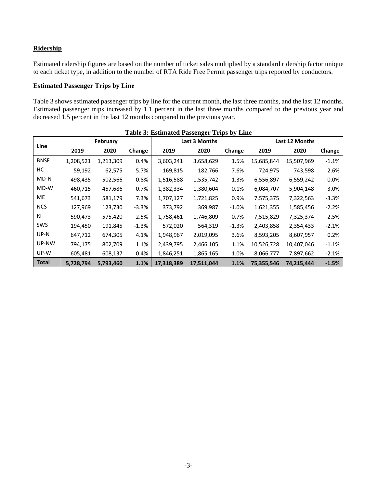## **Ridership**

Estimated ridership figures are based on the number of ticket sales multiplied by a standard ridership factor unique to each ticket type, in addition to the number of RTA Ride Free Permit passenger trips reported by conductors.

## **Estimated Passenger Trips by Line**

Table 3 shows estimated passenger trips by line for the current month, the last three months, and the last 12 months. Estimated passenger trips increased by 1.1 percent in the last three months compared to the previous year and decreased 1.5 percent in the last 12 months compared to the previous year.

|              | Table 5. Estimated I assenger Trips by Ellie |           |          |            |               |         |            |                |         |  |  |  |  |
|--------------|----------------------------------------------|-----------|----------|------------|---------------|---------|------------|----------------|---------|--|--|--|--|
|              |                                              | February  |          |            | Last 3 Months |         |            | Last 12 Months |         |  |  |  |  |
| Line         | 2019                                         | 2020      | Change   | 2019       | 2020          | Change  | 2019       | 2020           | Change  |  |  |  |  |
| <b>BNSF</b>  | 1,208,521                                    | 1,213,309 | 0.4%     | 3,603,241  | 3,658,629     | 1.5%    | 15,685,844 | 15,507,969     | $-1.1%$ |  |  |  |  |
| НC           | 59,192                                       | 62,575    | 5.7%     | 169,815    | 182,766       | 7.6%    | 724,975    | 743,598        | 2.6%    |  |  |  |  |
| MD-N         | 498,435                                      | 502,566   | 0.8%     | 1,516,588  | 1,535,742     | 1.3%    | 6,556,897  | 6,559,242      | 0.0%    |  |  |  |  |
| MD-W         | 460,715                                      | 457,686   | $-0.7\%$ | 1,382,334  | 1,380,604     | $-0.1%$ | 6,084,707  | 5,904,148      | $-3.0%$ |  |  |  |  |
| ME           | 541,673                                      | 581,179   | 7.3%     | 1,707,127  | 1,721,825     | 0.9%    | 7,575,375  | 7,322,563      | $-3.3%$ |  |  |  |  |
| <b>NCS</b>   | 127,969                                      | 123,730   | $-3.3%$  | 373,792    | 369,987       | $-1.0%$ | 1,621,355  | 1,585,456      | $-2.2%$ |  |  |  |  |
| <b>RI</b>    | 590,473                                      | 575,420   | $-2.5%$  | 1,758,461  | 1,746,809     | $-0.7%$ | 7,515,829  | 7,325,374      | $-2.5%$ |  |  |  |  |
| <b>SWS</b>   | 194,450                                      | 191,845   | $-1.3%$  | 572,020    | 564,319       | $-1.3%$ | 2,403,858  | 2,354,433      | $-2.1%$ |  |  |  |  |
| UP-N         | 647,712                                      | 674,305   | 4.1%     | 1,948,967  | 2,019,095     | 3.6%    | 8,593,205  | 8,607,957      | 0.2%    |  |  |  |  |
| UP-NW        | 794,175                                      | 802,709   | 1.1%     | 2,439,795  | 2,466,105     | 1.1%    | 10,526,728 | 10,407,046     | $-1.1%$ |  |  |  |  |
| UP-W         | 605,481                                      | 608,137   | 0.4%     | 1,846,251  | 1,865,165     | 1.0%    | 8,066,777  | 7,897,662      | $-2.1%$ |  |  |  |  |
| <b>Total</b> | 5,728,794                                    | 5,793,460 | 1.1%     | 17,318,389 | 17,511,044    | 1.1%    | 75,355,546 | 74,215,444     | $-1.5%$ |  |  |  |  |

## **Table 3: Estimated Passenger Trips by Line**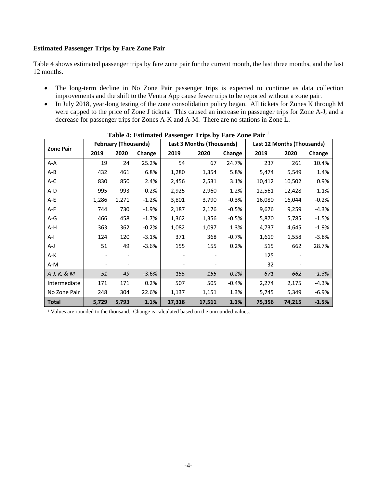#### **Estimated Passenger Trips by Fare Zone Pair**

Table 4 shows estimated passenger trips by fare zone pair for the current month, the last three months, and the last 12 months.

- The long-term decline in No Zone Pair passenger trips is expected to continue as data collection improvements and the shift to the Ventra App cause fewer trips to be reported without a zone pair.
- In July 2018, year-long testing of the zone consolidation policy began. All tickets for Zones K through M were capped to the price of Zone J tickets. This caused an increase in passenger trips for Zone A-J, and a decrease for passenger trips for Zones A-K and A-M. There are no stations in Zone L.

|                  |       | <b>February (Thousands)</b> |         |        | Last 3 Months (Thousands) |         |        | Last 12 Months (Thousands) |         |
|------------------|-------|-----------------------------|---------|--------|---------------------------|---------|--------|----------------------------|---------|
| <b>Zone Pair</b> | 2019  | 2020                        | Change  | 2019   | 2020                      | Change  | 2019   | 2020                       | Change  |
| A-A              | 19    | 24                          | 25.2%   | 54     | 67                        | 24.7%   | 237    | 261                        | 10.4%   |
| A-B              | 432   | 461                         | 6.8%    | 1,280  | 1,354                     | 5.8%    | 5,474  | 5,549                      | 1.4%    |
| A-C              | 830   | 850                         | 2.4%    | 2,456  | 2,531                     | 3.1%    | 10,412 | 10,502                     | 0.9%    |
| A-D              | 995   | 993                         | $-0.2%$ | 2,925  | 2,960                     | 1.2%    | 12,561 | 12,428                     | $-1.1%$ |
| A-E              | 1,286 | 1,271                       | $-1.2%$ | 3,801  | 3,790                     | $-0.3%$ | 16,080 | 16,044                     | $-0.2%$ |
| A-F              | 744   | 730                         | $-1.9%$ | 2,187  | 2,176                     | $-0.5%$ | 9,676  | 9,259                      | $-4.3%$ |
| $A-G$            | 466   | 458                         | $-1.7%$ | 1,362  | 1,356                     | $-0.5%$ | 5,870  | 5,785                      | $-1.5%$ |
| A-H              | 363   | 362                         | $-0.2%$ | 1,082  | 1,097                     | 1.3%    | 4,737  | 4,645                      | $-1.9%$ |
| $A-I$            | 124   | 120                         | $-3.1%$ | 371    | 368                       | $-0.7%$ | 1,619  | 1,558                      | $-3.8%$ |
| A-J              | 51    | 49                          | $-3.6%$ | 155    | 155                       | 0.2%    | 515    | 662                        | 28.7%   |
| A-K              |       |                             |         |        |                           |         | 125    |                            |         |
| A-M              |       |                             |         |        |                           |         | 32     |                            |         |
| A-J, K, & M      | 51    | 49                          | $-3.6%$ | 155    | 155                       | 0.2%    | 671    | 662                        | $-1.3%$ |
| Intermediate     | 171   | 171                         | 0.2%    | 507    | 505                       | $-0.4%$ | 2,274  | 2,175                      | $-4.3%$ |
| No Zone Pair     | 248   | 304                         | 22.6%   | 1,137  | 1,151                     | 1.3%    | 5,745  | 5,349                      | $-6.9%$ |
| <b>Total</b>     | 5,729 | 5,793                       | 1.1%    | 17,318 | 17,511                    | 1.1%    | 75,356 | 74,215                     | $-1.5%$ |

#### **Table 4: Estimated Passenger Trips by Fare Zone Pair** <sup>1</sup>

<sup>1</sup> Values are rounded to the thousand. Change is calculated based on the unrounded values.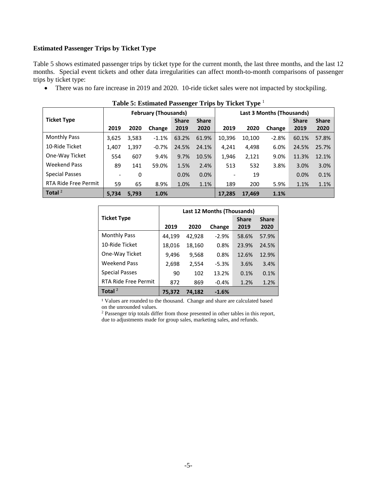#### **Estimated Passenger Trips by Ticket Type**

Table 5 shows estimated passenger trips by ticket type for the current month, the last three months, and the last 12 months. Special event tickets and other data irregularities can affect month-to-month comparisons of passenger trips by ticket type:

• There was no fare increase in 2019 and 2020. 10-ride ticket sales were not impacted by stockpiling.

| Table 5: Estimated I assenger Trips by Ticket Type |                          |       |                             |              |              |        |        |                           |              |              |  |  |  |
|----------------------------------------------------|--------------------------|-------|-----------------------------|--------------|--------------|--------|--------|---------------------------|--------------|--------------|--|--|--|
|                                                    |                          |       | <b>February (Thousands)</b> |              |              |        |        | Last 3 Months (Thousands) |              |              |  |  |  |
| <b>Ticket Type</b>                                 |                          |       |                             | <b>Share</b> | <b>Share</b> |        |        |                           | <b>Share</b> | <b>Share</b> |  |  |  |
|                                                    | 2019                     | 2020  | Change                      | 2019         | 2020         | 2019   | 2020   | Change                    | 2019         | 2020         |  |  |  |
| <b>Monthly Pass</b>                                | 3,625                    | 3,583 | $-1.1%$                     | 63.2%        | 61.9%        | 10,396 | 10,100 | $-2.8%$                   | 60.1%        | 57.8%        |  |  |  |
| 10-Ride Ticket                                     | 1,407                    | 1,397 | $-0.7%$                     | 24.5%        | 24.1%        | 4,241  | 4,498  | 6.0%                      | 24.5%        | 25.7%        |  |  |  |
| One-Way Ticket                                     | 554                      | 607   | 9.4%                        | 9.7%         | 10.5%        | 1,946  | 2,121  | 9.0%                      | 11.3%        | 12.1%        |  |  |  |
| <b>Weekend Pass</b>                                | 89                       | 141   | 59.0%                       | 1.5%         | 2.4%         | 513    | 532    | 3.8%                      | 3.0%         | 3.0%         |  |  |  |
| <b>Special Passes</b>                              | $\overline{\phantom{a}}$ | 0     |                             | 0.0%         | 0.0%         |        | 19     |                           | 0.0%         | 0.1%         |  |  |  |
| RTA Ride Free Permit                               | 59                       | 65    | 8.9%                        | 1.0%         | 1.1%         | 189    | 200    | 5.9%                      | 1.1%         | 1.1%         |  |  |  |
| Total $2$                                          | 5.734                    | 5.793 | 1.0%                        |              |              | 17.285 | 17,469 | 1.1%                      |              |              |  |  |  |

|  | Table 5: Estimated Passenger Trips by Ticket Type 1 |  |  |  |
|--|-----------------------------------------------------|--|--|--|
|--|-----------------------------------------------------|--|--|--|

|                             |        |        | Last 12 Months (Thousands) |              |              |
|-----------------------------|--------|--------|----------------------------|--------------|--------------|
| <b>Ticket Type</b>          |        |        |                            | <b>Share</b> | <b>Share</b> |
|                             | 2019   | 2020   | Change                     | 2019         | 2020         |
| <b>Monthly Pass</b>         | 44,199 | 42,928 | $-2.9%$                    | 58.6%        | 57.9%        |
| 10-Ride Ticket              | 18,016 | 18,160 | 0.8%                       | 23.9%        | 24.5%        |
| One-Way Ticket              | 9,496  | 9,568  | 0.8%                       | 12.6%        | 12.9%        |
| <b>Weekend Pass</b>         | 2,698  | 2,554  | $-5.3%$                    | 3.6%         | 3.4%         |
| <b>Special Passes</b>       | 90     | 102    | 13.2%                      | 0.1%         | 0.1%         |
| <b>RTA Ride Free Permit</b> | 872    | 869    | $-0.4%$                    | 1.2%         | 1.2%         |
| Total $2$                   | 75,372 | 74.182 | $-1.6%$                    |              |              |

<sup>1</sup> Values are rounded to the thousand. Change and share are calculated based on the unrounded values.

<sup>2</sup> Passenger trip totals differ from those presented in other tables in this report, due to adjustments made for group sales, marketing sales, and refunds.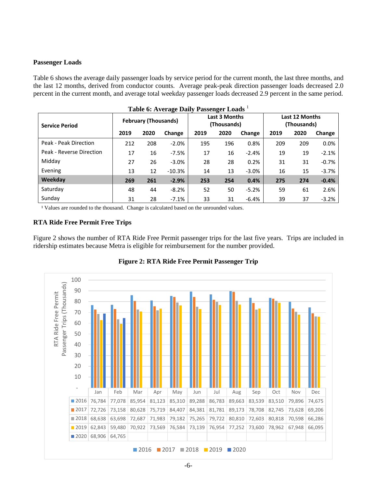## **Passenger Loads**

Table 6 shows the average daily passenger loads by service period for the current month, the last three months, and the last 12 months, derived from conductor counts. Average peak-peak direction passenger loads decreased 2.0 percent in the current month, and average total weekday passenger loads decreased 2.9 percent in the same period.

|                          |      |                             | Table 6: Average Daily Passenger Loads 1 |      |                                     |         |                               |      |         |
|--------------------------|------|-----------------------------|------------------------------------------|------|-------------------------------------|---------|-------------------------------|------|---------|
| <b>Service Period</b>    |      | <b>February (Thousands)</b> |                                          |      | <b>Last 3 Months</b><br>(Thousands) |         | Last 12 Months<br>(Thousands) |      |         |
|                          | 2019 | 2020                        | Change                                   | 2019 | 2020                                | Change  | 2019                          | 2020 | Change  |
| Peak - Peak Direction    | 212  | 208                         | $-2.0%$                                  | 195  | 196                                 | 0.8%    | 209                           | 209  | 0.0%    |
| Peak - Reverse Direction | 17   | 16                          | $-7.5%$                                  | 17   | 16                                  | $-2.4%$ | 19                            | 19   | $-2.1%$ |
| Midday                   | 27   | 26                          | $-3.0%$                                  | 28   | 28                                  | 0.2%    | 31                            | 31   | $-0.7%$ |
| Evening                  | 13   | 12                          | $-10.3%$                                 | 14   | 13                                  | $-3.0%$ | 16                            | 15   | $-3.7%$ |
| Weekday                  | 269  | 261                         | $-2.9%$                                  | 253  | 254                                 | 0.4%    | 275                           | 274  | $-0.4%$ |
| Saturday                 | 48   | 44                          | $-8.2%$                                  | 52   | 50                                  | $-5.2%$ | 59                            | 61   | 2.6%    |
| Sunday                   | 31   | 28                          | $-7.1%$                                  | 33   | 31                                  | $-6.4%$ | 39                            | 37   | $-3.2%$ |

<sup>1</sup> Values are rounded to the thousand. Change is calculated based on the unrounded values.

## **RTA Ride Free Permit Free Trips**

Figure 2 shows the number of RTA Ride Free Permit passenger trips for the last five years. Trips are included in ridership estimates because Metra is eligible for reimbursement for the number provided.



## **Figure 2: RTA Ride Free Permit Passenger Trip**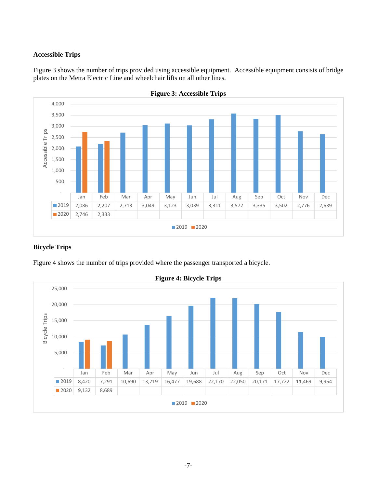## **Accessible Trips**

Figure 3 shows the number of trips provided using accessible equipment. Accessible equipment consists of bridge plates on the Metra Electric Line and wheelchair lifts on all other lines.





## **Bicycle Trips**

Figure 4 shows the number of trips provided where the passenger transported a bicycle.



**Figure 4: Bicycle Trips**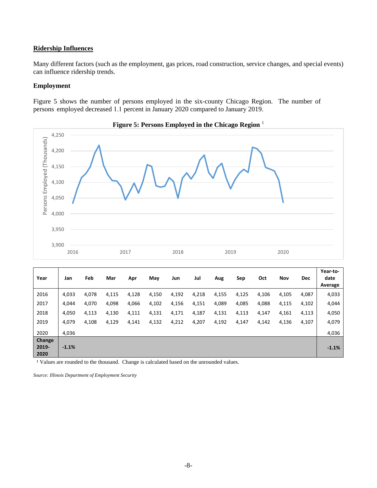#### **Ridership Influences**

Many different factors (such as the employment, gas prices, road construction, service changes, and special events) can influence ridership trends.

## **Employment**

Figure 5 shows the number of persons employed in the six-county Chicago Region. The number of persons employed decreased 1.1 percent in January 2020 compared to January 2019.



**Figure 5: Persons Employed in the Chicago Region** <sup>1</sup>

| Year                    | Jan     | Feb   | Mar   | Apr   | May   | Jun   | Jul   | Aug   | Sep   | Oct   | Nov   | <b>Dec</b> | Year-to-<br>date<br>Average |
|-------------------------|---------|-------|-------|-------|-------|-------|-------|-------|-------|-------|-------|------------|-----------------------------|
| 2016                    | 4,033   | 4,078 | 4,115 | 4,128 | 4,150 | 4,192 | 4,218 | 4,155 | 4,125 | 4,106 | 4,105 | 4,087      | 4,033                       |
| 2017                    | 4,044   | 4,070 | 4,098 | 4,066 | 4,102 | 4,156 | 4,151 | 4,089 | 4,085 | 4,088 | 4,115 | 4,102      | 4,044                       |
| 2018                    | 4,050   | 4,113 | 4,130 | 4,111 | 4,131 | 4,171 | 4,187 | 4,131 | 4,113 | 4,147 | 4,161 | 4,113      | 4,050                       |
| 2019                    | 4,079   | 4,108 | 4,129 | 4,141 | 4,132 | 4,212 | 4,207 | 4,192 | 4,147 | 4,142 | 4,136 | 4,107      | 4,079                       |
| 2020                    | 4,036   |       |       |       |       |       |       |       |       |       |       |            | 4,036                       |
| Change<br>2019-<br>2020 | $-1.1%$ |       |       |       |       |       |       |       |       |       |       |            | $-1.1%$                     |

<sup>1</sup> Values are rounded to the thousand. Change is calculated based on the unrounded values.

*Source: Illinois Department of Employment Security*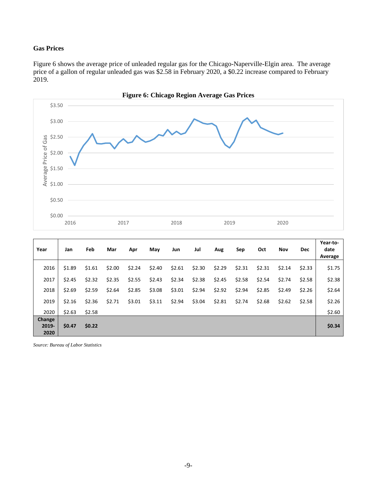## **Gas Prices**

Figure 6 shows the average price of unleaded regular gas for the Chicago-Naperville-Elgin area. The average price of a gallon of regular unleaded gas was \$2.58 in February 2020, a \$0.22 increase compared to February 2019.



| Year                    | Jan    | Feb    | Mar    | Apr    | May    | Jun    | Jul    | Aug    | Sep    | Oct    | Nov    | <b>Dec</b> | Year-to-<br>date<br>Average |
|-------------------------|--------|--------|--------|--------|--------|--------|--------|--------|--------|--------|--------|------------|-----------------------------|
| 2016                    | \$1.89 | \$1.61 | \$2.00 | \$2.24 | \$2.40 | \$2.61 | \$2.30 | \$2.29 | \$2.31 | \$2.31 | \$2.14 | \$2.33     | \$1.75                      |
| 2017                    | \$2.45 | \$2.32 | \$2.35 | \$2.55 | \$2.43 | \$2.34 | \$2.38 | \$2.45 | \$2.58 | \$2.54 | \$2.74 | \$2.58     | \$2.38                      |
| 2018                    | \$2.69 | \$2.59 | \$2.64 | \$2.85 | \$3.08 | \$3.01 | \$2.94 | \$2.92 | \$2.94 | \$2.85 | \$2.49 | \$2.26     | \$2.64                      |
| 2019                    | \$2.16 | \$2.36 | \$2.71 | \$3.01 | \$3.11 | \$2.94 | \$3.04 | \$2.81 | \$2.74 | \$2.68 | \$2.62 | \$2.58     | \$2.26                      |
| 2020                    | \$2.63 | \$2.58 |        |        |        |        |        |        |        |        |        |            | \$2.60                      |
| Change<br>2019-<br>2020 | \$0.47 | \$0.22 |        |        |        |        |        |        |        |        |        |            | \$0.34                      |

*Source: Bureau of Labor Statistics*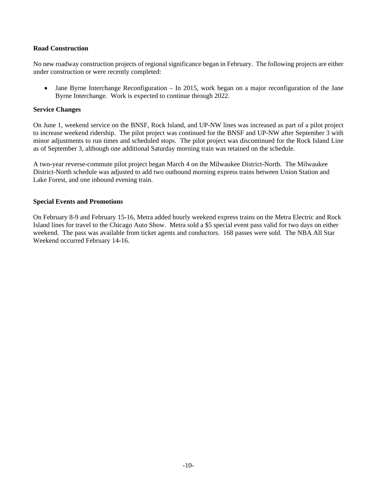### **Road Construction**

No new roadway construction projects of regional significance began in February. The following projects are either under construction or were recently completed:

• Jane Byrne Interchange Reconfiguration – In 2015, work began on a major reconfiguration of the Jane Byrne Interchange. Work is expected to continue through 2022.

#### **Service Changes**

On June 1, weekend service on the BNSF, Rock Island, and UP-NW lines was increased as part of a pilot project to increase weekend ridership. The pilot project was continued for the BNSF and UP-NW after September 3 with minor adjustments to run times and scheduled stops. The pilot project was discontinued for the Rock Island Line as of September 3, although one additional Saturday morning train was retained on the schedule.

A two-year reverse-commute pilot project began March 4 on the Milwaukee District-North. The Milwaukee District-North schedule was adjusted to add two outbound morning express trains between Union Station and Lake Forest, and one inbound evening train.

## **Special Events and Promotions**

On February 8-9 and February 15-16, Metra added hourly weekend express trains on the Metra Electric and Rock Island lines for travel to the Chicago Auto Show. Metra sold a \$5 special event pass valid for two days on either weekend. The pass was available from ticket agents and conductors. 168 passes were sold. The NBA All Star Weekend occurred February 14-16.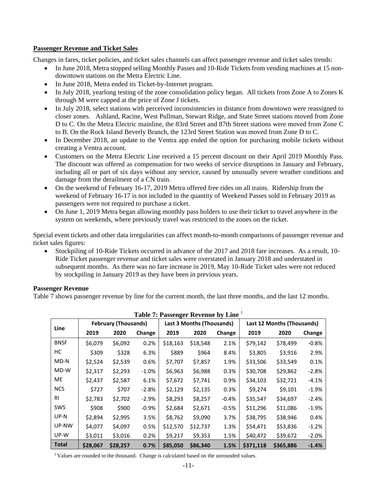## **Passenger Revenue and Ticket Sales**

Changes in fares, ticket policies, and ticket sales channels can affect passenger revenue and ticket sales trends:

- In June 2018, Metra stopped selling Monthly Passes and 10-Ride Tickets from vending machines at 15 nondowntown stations on the Metra Electric Line.
- In June 2018, Metra ended its Ticket-by-Internet program.
- In July 2018, yearlong testing of the zone consolidation policy began. All tickets from Zone A to Zones K through M were capped at the price of Zone J tickets.
- In July 2018, select stations with perceived inconsistencies in distance from downtown were reassigned to closer zones. Ashland, Racine, West Pullman, Stewart Ridge, and State Street stations moved from Zone D to C. On the Metra Electric mainline, the 83rd Street and 87th Street stations were moved from Zone C to B. On the Rock Island Beverly Branch, the 123rd Street Station was moved from Zone D to C.
- In December 2018, an update to the Ventra app ended the option for purchasing mobile tickets without creating a Ventra account.
- Customers on the Metra Electric Line received a 15 percent discount on their April 2019 Monthly Pass. The discount was offered as compensation for two weeks of service disruptions in January and February, including all or part of six days without any service, caused by unusually severe weather conditions and damage from the derailment of a CN train.
- On the weekend of February 16-17, 2019 Metra offered free rides on all trains. Ridership from the weekend of February 16-17 is not included in the quantity of Weekend Passes sold in February 2019 as passengers were not required to purchase a ticket.
- On June 1, 2019 Metra began allowing monthly pass holders to use their ticket to travel anywhere in the system on weekends, where previously travel was restricted to the zones on the ticket.

Special event tickets and other data irregularities can affect month-to-month comparisons of passenger revenue and ticket sales figures:

• Stockpiling of 10-Ride Tickets occurred in advance of the 2017 and 2018 fare increases. As a result, 10-Ride Ticket passenger revenue and ticket sales were overstated in January 2018 and understated in subsequent months. As there was no fare increase in 2019, May 10-Ride Ticket sales were not reduced by stockpiling in January 2019 as they have been in previous years.

## **Passenger Revenue**

Table 7 shows passenger revenue by line for the current month, the last three months, and the last 12 months.

|              | <b>Table 7: Passenger Revenue by Line</b> |                             |         |          |                                  |         |           |                            |         |  |  |  |  |  |
|--------------|-------------------------------------------|-----------------------------|---------|----------|----------------------------------|---------|-----------|----------------------------|---------|--|--|--|--|--|
| Line         |                                           | <b>February (Thousands)</b> |         |          | <b>Last 3 Months (Thousands)</b> |         |           | Last 12 Months (Thousands) |         |  |  |  |  |  |
|              | 2019                                      | 2020                        | Change  | 2019     | 2020                             | Change  | 2019      | 2020                       | Change  |  |  |  |  |  |
| <b>BNSF</b>  | \$6,079                                   | \$6,092                     | 0.2%    | \$18,163 | \$18,548                         | 2.1%    | \$79,142  | \$78,499                   | $-0.8%$ |  |  |  |  |  |
| НC           | \$309                                     | \$328                       | 6.3%    | \$889    | \$964                            | 8.4%    | \$3,805   | \$3,916                    | 2.9%    |  |  |  |  |  |
| $MD-N$       | \$2,524                                   | \$2,539                     | 0.6%    | \$7,707  | \$7,857                          | 1.9%    | \$33,506  | \$33,549                   | 0.1%    |  |  |  |  |  |
| MD-W         | \$2,317                                   | \$2,293                     | $-1.0%$ | \$6,963  | \$6,988                          | 0.3%    | \$30,708  | \$29,862                   | $-2.8%$ |  |  |  |  |  |
| ME           | \$2,437                                   | \$2,587                     | 6.1%    | \$7,672  | \$7,741                          | 0.9%    | \$34,103  | \$32,721                   | $-4.1%$ |  |  |  |  |  |
| <b>NCS</b>   | \$727                                     | \$707                       | $-2.8%$ | \$2,129  | \$2,135                          | 0.3%    | \$9,274   | \$9,101                    | $-1.9%$ |  |  |  |  |  |
| <b>RI</b>    | \$2,783                                   | \$2,702                     | $-2.9%$ | \$8,293  | \$8,257                          | $-0.4%$ | \$35,547  | \$34,697                   | $-2.4%$ |  |  |  |  |  |
| SWS          | \$908                                     | \$900                       | $-0.9%$ | \$2,684  | \$2,671                          | $-0.5%$ | \$11,296  | \$11,086                   | $-1.9%$ |  |  |  |  |  |
| UP-N         | \$2,894                                   | \$2,995                     | 3.5%    | \$8,762  | \$9,090                          | 3.7%    | \$38,795  | \$38,946                   | 0.4%    |  |  |  |  |  |
| UP-NW        | \$4,077                                   | \$4,097                     | 0.5%    | \$12,570 | \$12,737                         | 1.3%    | \$54,471  | \$53,836                   | $-1.2%$ |  |  |  |  |  |
| UP-W         | \$3,011                                   | \$3,016                     | 0.2%    | \$9,217  | \$9,353                          | 1.5%    | \$40,472  | \$39,672                   | $-2.0%$ |  |  |  |  |  |
| <b>Total</b> | \$28,067                                  | \$28,257                    | 0.7%    | \$85,050 | \$86,340                         | 1.5%    | \$371,118 | \$365,886                  | $-1.4%$ |  |  |  |  |  |

| Table 7: Passenger Revenue by Line <sup>1</sup> |  |
|-------------------------------------------------|--|
|-------------------------------------------------|--|

<sup>1</sup> Values are rounded to the thousand. Change is calculated based on the unrounded values.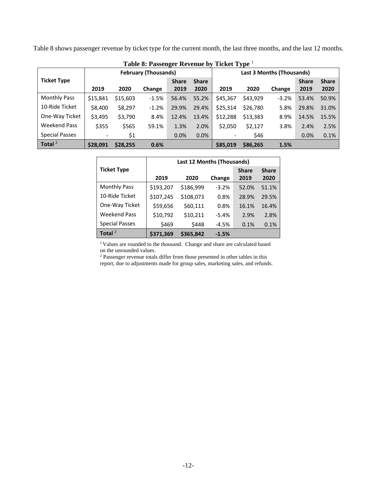Table 8 shows passenger revenue by ticket type for the current month, the last three months, and the last 12 months.

|                       |                             |          | Table 8: Passenger Revenue Dy |              | TICKEL TADE  |                           |          |         |              |              |
|-----------------------|-----------------------------|----------|-------------------------------|--------------|--------------|---------------------------|----------|---------|--------------|--------------|
|                       | <b>February (Thousands)</b> |          |                               |              |              | Last 3 Months (Thousands) |          |         |              |              |
| <b>Ticket Type</b>    |                             |          |                               | <b>Share</b> | <b>Share</b> |                           |          |         | <b>Share</b> | <b>Share</b> |
|                       | 2019                        | 2020     | Change                        | 2019         | 2020         | 2019                      | 2020     | Change  | 2019         | 2020         |
| <b>Monthly Pass</b>   | \$15,841                    | \$15,603 | $-1.5%$                       | 56.4%        | 55.2%        | \$45,367                  | \$43,929 | $-3.2%$ | 53.4%        | 50.9%        |
| 10-Ride Ticket        | \$8,400                     | \$8,297  | $-1.2%$                       | 29.9%        | 29.4%        | \$25,314                  | \$26,780 | 5.8%    | 29.8%        | 31.0%        |
| One-Way Ticket        | \$3,495                     | \$3,790  | 8.4%                          | 12.4%        | 13.4%        | \$12,288                  | \$13,383 | 8.9%    | 14.5%        | 15.5%        |
| <b>Weekend Pass</b>   | \$355                       | \$565    | 59.1%                         | 1.3%         | 2.0%         | \$2,050                   | \$2,127  | 3.8%    | 2.4%         | 2.5%         |
| <b>Special Passes</b> |                             | \$1      |                               | 0.0%         | 0.0%         |                           | \$46     |         | 0.0%         | 0.1%         |
| Total $^2$            | \$28,091                    | \$28,255 | 0.6%                          |              |              | \$85,019                  | \$86,265 | 1.5%    |              |              |

**Table 8: Passenger Revenue by Ticket Type** <sup>1</sup>

|                       | <b>Last 12 Months (Thousands)</b> |           |         |              |              |  |  |  |  |
|-----------------------|-----------------------------------|-----------|---------|--------------|--------------|--|--|--|--|
| <b>Ticket Type</b>    |                                   |           |         | <b>Share</b> | <b>Share</b> |  |  |  |  |
|                       | 2019                              | 2020      | Change  | 2019         | 2020         |  |  |  |  |
| <b>Monthly Pass</b>   | \$193,207                         | \$186,999 | $-3.2%$ | 52.0%        | 51.1%        |  |  |  |  |
| 10-Ride Ticket        | \$107,245                         | \$108,073 | 0.8%    | 28.9%        | 29.5%        |  |  |  |  |
| One-Way Ticket        | \$59,656                          | \$60,111  | 0.8%    | 16.1%        | 16.4%        |  |  |  |  |
| <b>Weekend Pass</b>   | \$10,792                          | \$10,211  | $-5.4%$ | 2.9%         | 2.8%         |  |  |  |  |
| <b>Special Passes</b> | \$469                             | \$448     | $-4.5%$ | 0.1%         | 0.1%         |  |  |  |  |
| Total $^2$            | \$371,369                         | \$365.842 | $-1.5%$ |              |              |  |  |  |  |

<sup>1</sup> Values are rounded to the thousand. Change and share are calculated based on the unrounded values.

<sup>2</sup> Passenger revenue totals differ from those presented in other tables in this report, due to adjustments made for group sales, marketing sales, and refunds.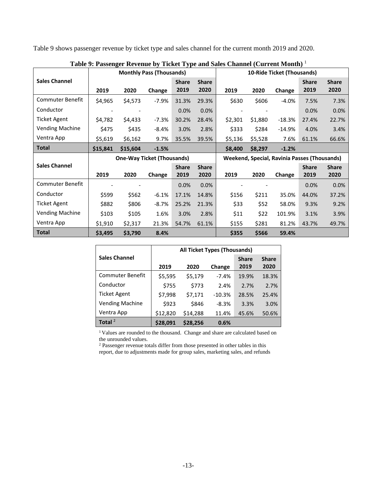Table 9 shows passenger revenue by ticket type and sales channel for the current month 2019 and 2020.

|                         |          |          | <b>Monthly Pass (Thousands)</b>   |              |              |         |         | 10-Ride Ticket (Thousands)                   |              |              |
|-------------------------|----------|----------|-----------------------------------|--------------|--------------|---------|---------|----------------------------------------------|--------------|--------------|
| <b>Sales Channel</b>    |          |          |                                   | <b>Share</b> | <b>Share</b> |         |         |                                              | <b>Share</b> | <b>Share</b> |
|                         | 2019     | 2020     | Change                            | 2019         | 2020         | 2019    | 2020    | Change                                       | 2019         | 2020         |
| <b>Commuter Benefit</b> | \$4,965  | \$4,573  | $-7.9%$                           | 31.3%        | 29.3%        | \$630   | \$606   | $-4.0%$                                      | 7.5%         | 7.3%         |
| Conductor               |          |          |                                   | 0.0%         | 0.0%         |         |         |                                              | 0.0%         | 0.0%         |
| Ticket Agent            | \$4,782  | \$4,433  | $-7.3%$                           | 30.2%        | 28.4%        | \$2,301 | \$1,880 | $-18.3%$                                     | 27.4%        | 22.7%        |
| <b>Vending Machine</b>  | \$475    | \$435    | $-8.4%$                           | 3.0%         | 2.8%         | \$333   | \$284   | $-14.9%$                                     | 4.0%         | 3.4%         |
| Ventra App              | \$5,619  | \$6,162  | 9.7%                              | 35.5%        | 39.5%        | \$5,136 | \$5,528 | 7.6%                                         | 61.1%        | 66.6%        |
| <b>Total</b>            | \$15,841 | \$15,604 | $-1.5%$                           |              |              | \$8,400 | \$8,297 | $-1.2%$                                      |              |              |
|                         |          |          |                                   |              |              |         |         |                                              |              |              |
|                         |          |          | <b>One-Way Ticket (Thousands)</b> |              |              |         |         | Weekend, Special, Ravinia Passes (Thousands) |              |              |
| <b>Sales Channel</b>    |          |          |                                   | <b>Share</b> | <b>Share</b> |         |         |                                              | <b>Share</b> | <b>Share</b> |
|                         | 2019     | 2020     | Change                            | 2019         | 2020         | 2019    | 2020    | Change                                       | 2019         | 2020         |
| <b>Commuter Benefit</b> |          |          |                                   | 0.0%         | 0.0%         |         |         |                                              | 0.0%         | 0.0%         |
| Conductor               | \$599    | \$562    | $-6.1%$                           | 17.1%        | 14.8%        | \$156   | \$211   | 35.0%                                        | 44.0%        | 37.2%        |
| Ticket Agent            | \$882    | \$806    | $-8.7%$                           | 25.2%        | 21.3%        | \$33    | \$52    | 58.0%                                        | 9.3%         | 9.2%         |
| <b>Vending Machine</b>  | \$103    | \$105    | 1.6%                              | 3.0%         | 2.8%         | \$11    | \$22    | 101.9%                                       | 3.1%         | 3.9%         |
| Ventra App              | \$1,910  | \$2,317  | 21.3%                             | 54.7%        | 61.1%        | \$155   | \$281   | 81.2%                                        | 43.7%        | 49.7%        |

**Table 9: Passenger Revenue by Ticket Type and Sales Channel (Current Month)** <sup>1</sup>

|                         | <b>All Ticket Types (Thousands)</b> |          |          |              |              |  |  |  |  |
|-------------------------|-------------------------------------|----------|----------|--------------|--------------|--|--|--|--|
| <b>Sales Channel</b>    |                                     |          |          | <b>Share</b> | <b>Share</b> |  |  |  |  |
|                         | 2019                                | 2020     | Change   | 2019         | 2020         |  |  |  |  |
| <b>Commuter Benefit</b> | \$5,595                             | \$5,179  | $-7.4%$  | 19.9%        | 18.3%        |  |  |  |  |
| Conductor               | \$755                               | \$773    | 2.4%     | 2.7%         | 2.7%         |  |  |  |  |
| <b>Ticket Agent</b>     | \$7,998                             | \$7,171  | $-10.3%$ | 28.5%        | 25.4%        |  |  |  |  |
| <b>Vending Machine</b>  | \$923                               | \$846    | $-8.3%$  | 3.3%         | 3.0%         |  |  |  |  |
| Ventra App              | \$12,820                            | \$14,288 | 11.4%    | 45.6%        | 50.6%        |  |  |  |  |
| Total $2$               | \$28,091                            | \$28,256 | 0.6%     |              |              |  |  |  |  |

<sup>1</sup> Values are rounded to the thousand. Change and share are calculated based on the unrounded values.

<sup>2</sup> Passenger revenue totals differ from those presented in other tables in this report, due to adjustments made for group sales, marketing sales, and refunds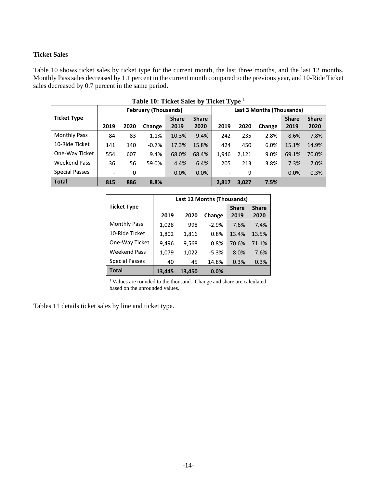## **Ticket Sales**

Table 10 shows ticket sales by ticket type for the current month, the last three months, and the last 12 months. Monthly Pass sales decreased by 1.1 percent in the current month compared to the previous year, and 10-Ride Ticket sales decreased by 0.7 percent in the same period.

| Table 10: Ticket Sales by Ticket Type <sup>1</sup> |                             |      |         |              |              |                          |                           |         |              |              |  |
|----------------------------------------------------|-----------------------------|------|---------|--------------|--------------|--------------------------|---------------------------|---------|--------------|--------------|--|
|                                                    | <b>February (Thousands)</b> |      |         |              |              |                          | Last 3 Months (Thousands) |         |              |              |  |
| <b>Ticket Type</b>                                 |                             |      |         | <b>Share</b> | <b>Share</b> |                          |                           |         | <b>Share</b> | <b>Share</b> |  |
|                                                    | 2019                        | 2020 | Change  | 2019         | 2020         | 2019                     | 2020                      | Change  | 2019         | 2020         |  |
| <b>Monthly Pass</b>                                | 84                          | 83   | $-1.1%$ | 10.3%        | 9.4%         | 242                      | 235                       | $-2.8%$ | 8.6%         | 7.8%         |  |
| 10-Ride Ticket                                     | 141                         | 140  | $-0.7%$ | 17.3%        | 15.8%        | 424                      | 450                       | 6.0%    | 15.1%        | 14.9%        |  |
| One-Way Ticket                                     | 554                         | 607  | 9.4%    | 68.0%        | 68.4%        | 1,946                    | 2,121                     | 9.0%    | 69.1%        | 70.0%        |  |
| <b>Weekend Pass</b>                                | 36                          | 56   | 59.0%   | 4.4%         | 6.4%         | 205                      | 213                       | 3.8%    | 7.3%         | 7.0%         |  |
| <b>Special Passes</b>                              | $\overline{\phantom{a}}$    | 0    |         | 0.0%         | 0.0%         | $\overline{\phantom{a}}$ | 9                         |         | 0.0%         | 0.3%         |  |
| <b>Total</b>                                       | 815                         | 886  | 8.8%    |              |              | 2.817                    | 3,027                     | 7.5%    |              |              |  |

|                       | Last 12 Months (Thousands) |        |         |              |              |  |  |  |
|-----------------------|----------------------------|--------|---------|--------------|--------------|--|--|--|
| <b>Ticket Type</b>    |                            |        |         | <b>Share</b> | <b>Share</b> |  |  |  |
|                       | 2019                       | 2020   | Change  | 2019         | 2020         |  |  |  |
| <b>Monthly Pass</b>   | 1,028                      | 998    | $-2.9%$ | 7.6%         | 7.4%         |  |  |  |
| 10-Ride Ticket        | 1,802                      | 1,816  | 0.8%    | 13.4%        | 13.5%        |  |  |  |
| One-Way Ticket        | 9,496                      | 9,568  | 0.8%    | 70.6%        | 71.1%        |  |  |  |
| <b>Weekend Pass</b>   | 1,079                      | 1,022  | $-5.3%$ | 8.0%         | 7.6%         |  |  |  |
| <b>Special Passes</b> | 40                         | 45     | 14.8%   | 0.3%         | 0.3%         |  |  |  |
| Total                 | 13.445                     | 13.450 | 0.0%    |              |              |  |  |  |

 $^{\rm l}$  Values are rounded to the thousand. Change and share are calculated based on the unrounded values.

Tables 11 details ticket sales by line and ticket type.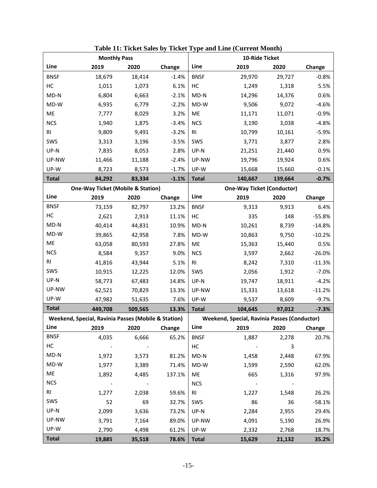|              | <b>Monthly Pass</b>                                 |                         |         |                |                                                     | 10-Ride Ticket                    |          |
|--------------|-----------------------------------------------------|-------------------------|---------|----------------|-----------------------------------------------------|-----------------------------------|----------|
| Line         | 2019                                                | 2020                    | Change  | Line           | 2019                                                | 2020                              | Change   |
| <b>BNSF</b>  | 18,679                                              | 18,414                  | $-1.4%$ | <b>BNSF</b>    | 29,970                                              | 29,727                            | $-0.8%$  |
| HC           | 1,011                                               | 1,073                   | 6.1%    | HC             | 1,249                                               | 1,318                             | 5.5%     |
| $MD-N$       | 6,804                                               | 6,663                   | $-2.1%$ | $MD-N$         | 14,296                                              | 14,376                            | 0.6%     |
| MD-W         | 6,935                                               | 6,779                   | $-2.2%$ | MD-W           | 9,506                                               | 9,072                             | $-4.6%$  |
| ME           | 7,777                                               | 8,029                   | 3.2%    | ME             | 11,171                                              | 11,071                            | $-0.9%$  |
| <b>NCS</b>   | 1,940                                               | 1,875                   | $-3.4%$ | <b>NCS</b>     | 3,190                                               | 3,038                             | $-4.8%$  |
| RI           | 9,809                                               | 9,491                   | $-3.2%$ | R <sub>l</sub> | 10,799                                              | 10,161                            | $-5.9%$  |
| SWS          | 3,313                                               | 3,196                   | $-3.5%$ | SWS            | 3,771                                               | 3,877                             | 2.8%     |
| UP-N         | 7,835                                               | 8,053                   | 2.8%    | UP-N           | 21,251                                              | 21,440                            | 0.9%     |
| UP-NW        | 11,466                                              | 11,188                  | $-2.4%$ | UP-NW          | 19,796                                              | 19,924                            | 0.6%     |
| UP-W         | 8,723                                               | 8,573                   | $-1.7%$ | UP-W           | 15,668                                              | 15,660                            | $-0.1%$  |
| <b>Total</b> | 84,292                                              | 83,334                  | $-1.1%$ | <b>Total</b>   | 140,667                                             | 139,664                           | $-0.7%$  |
|              | <b>One-Way Ticket (Mobile &amp; Station)</b>        |                         |         |                |                                                     | <b>One-Way Ticket (Conductor)</b> |          |
| Line         | 2019                                                | 2020                    | Change  | Line           | 2019                                                | 2020                              | Change   |
| <b>BNSF</b>  | 73,159                                              | 82,797                  | 13.2%   | <b>BNSF</b>    | 9,313                                               | 9,913                             | 6.4%     |
| НC           | 2,621                                               | 2,913                   | 11.1%   | HC             | 335                                                 | 148                               | $-55.8%$ |
| $MD-N$       | 40,414                                              | 44,831                  | 10.9%   | $MD-N$         | 10,261                                              | 8,739                             | $-14.8%$ |
| MD-W         | 39,865                                              | 42,958                  | 7.8%    | MD-W           | 10,863                                              | 9,750                             | $-10.2%$ |
| ME           | 63,058                                              | 80,593                  | 27.8%   | ME             | 15,363                                              | 15,440                            | 0.5%     |
| <b>NCS</b>   | 8,584                                               | 9,357                   | 9.0%    | <b>NCS</b>     | 3,597                                               | 2,662                             | $-26.0%$ |
| <b>RI</b>    | 41,816                                              | 43,944                  | 5.1%    | R <sub>l</sub> | 8,242                                               | 7,310                             | $-11.3%$ |
| SWS          | 10,915                                              | 12,225                  | 12.0%   | SWS            | 2,056                                               | 1,912                             | $-7.0%$  |
| UP-N         | 58,773                                              | 67,483                  | 14.8%   | UP-N           | 19,747                                              | 18,911                            | $-4.2%$  |
| UP-NW        | 62,521                                              | 70,829                  | 13.3%   | UP-NW          | 15,331                                              | 13,618                            | $-11.2%$ |
| UP-W         | 47,982                                              | 51,635                  | 7.6%    | UP-W           | 9,537                                               | 8,609                             | $-9.7%$  |
| <b>Total</b> | 449,708                                             | 509,565                 | 13.3%   | <b>Total</b>   | 104,645                                             | 97,012                            | $-7.3%$  |
|              | Weekend, Special, Ravinia Passes (Mobile & Station) |                         |         |                | <b>Weekend, Special, Ravinia Passes (Conductor)</b> |                                   |          |
| Line         | 2019                                                | 2020                    | Change  | Line           | 2019                                                | 2020                              | Change   |
| <b>BNSF</b>  | 4,035                                               | 6,666                   | 65.2%   | BNSF           | 1,887                                               | 2,278                             | 20.7%    |
| HC           | $\sim 100$ km s $^{-1}$                             |                         |         | НC             | $\sim 100$ km s $^{-1}$                             | 3                                 |          |
| $MD-N$       | 1,972                                               | 3,573                   | 81.2%   | MD-N           | 1,458                                               | 2,448                             | 67.9%    |
| MD-W         | 1,977                                               | 3,389                   | 71.4%   | $MD-W$         | 1,599                                               | 2,590                             | 62.0%    |
| ME           | 1,892                                               | 4,485                   | 137.1%  | ME             | 665                                                 | 1,316                             | 97.9%    |
| <b>NCS</b>   | $\sim 100$ km s $^{-1}$                             | $\sim 100$ km s $^{-1}$ |         | <b>NCS</b>     | $\sim 100$ km s $^{-1}$                             |                                   |          |
| <b>RI</b>    | 1,277                                               | 2,038                   | 59.6%   | RI             | 1,227                                               | 1,548                             | 26.2%    |
| SWS          | 52                                                  | 69                      | 32.7%   | SWS            | 86                                                  | 36                                | $-58.1%$ |
| UP-N         | 2,099                                               | 3,636                   | 73.2%   | $UP-N$         | 2,284                                               | 2,955                             | 29.4%    |
| UP-NW        | 3,791                                               | 7,164                   | 89.0%   | UP-NW          | 4,091                                               | 5,190                             | 26.9%    |
| UP-W         | 2,790                                               | 4,498                   | 61.2%   | UP-W           | 2,332                                               | 2,768                             | 18.7%    |
| <b>Total</b> | 19,885                                              | 35,518                  | 78.6%   | <b>Total</b>   | 15,629                                              | 21,132                            | 35.2%    |

**Table 11: Ticket Sales by Ticket Type and Line (Current Month)**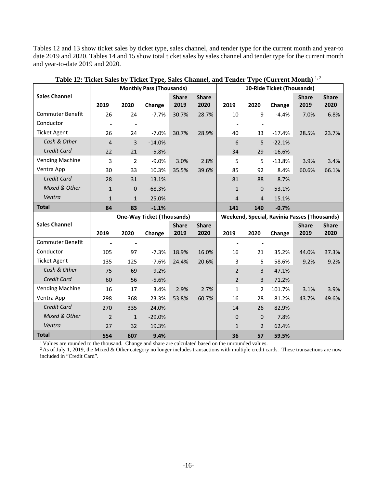Tables 12 and 13 show ticket sales by ticket type, sales channel, and tender type for the current month and year-to date 2019 and 2020. Tables 14 and 15 show total ticket sales by sales channel and tender type for the current month and year-to-date 2019 and 2020.

|                         |                |                | <b>Monthly Pass (Thousands)</b>   |                      |                      |                |                | 10-Ride Ticket (Thousands)                   |                      |                      |
|-------------------------|----------------|----------------|-----------------------------------|----------------------|----------------------|----------------|----------------|----------------------------------------------|----------------------|----------------------|
| <b>Sales Channel</b>    | 2019           | 2020           | Change                            | <b>Share</b><br>2019 | <b>Share</b><br>2020 | 2019           | 2020           | Change                                       | <b>Share</b><br>2019 | <b>Share</b><br>2020 |
| <b>Commuter Benefit</b> | 26             | 24             | $-7.7%$                           | 30.7%                | 28.7%                | 10             | 9              | $-4.4%$                                      | 7.0%                 | 6.8%                 |
| Conductor               |                |                |                                   |                      |                      |                |                |                                              |                      |                      |
| <b>Ticket Agent</b>     | 26             | 24             | $-7.0%$                           | 30.7%                | 28.9%                | 40             | 33             | $-17.4%$                                     | 28.5%                | 23.7%                |
| Cash & Other            | $\overline{4}$ | 3              | $-14.0%$                          |                      |                      | 6              | 5              | $-22.1%$                                     |                      |                      |
| Credit Card             | 22             | 21             | $-5.8%$                           |                      |                      | 34             | 29             | $-16.6%$                                     |                      |                      |
| <b>Vending Machine</b>  | 3              | $\overline{2}$ | $-9.0%$                           | 3.0%                 | 2.8%                 | 5              | 5              | $-13.8%$                                     | 3.9%                 | 3.4%                 |
| Ventra App              | 30             | 33             | 10.3%                             | 35.5%                | 39.6%                | 85             | 92             | 8.4%                                         | 60.6%                | 66.1%                |
| Credit Card             | 28             | 31             | 13.1%                             |                      |                      | 81             | 88             | 8.7%                                         |                      |                      |
| Mixed & Other           | $\mathbf{1}$   | $\mathbf 0$    | $-68.3%$                          |                      |                      | $\mathbf{1}$   | 0              | $-53.1%$                                     |                      |                      |
| Ventra                  | $\mathbf{1}$   | $\mathbf{1}$   | 25.0%                             |                      |                      | $\overline{4}$ | 4              | 15.1%                                        |                      |                      |
| <b>Total</b>            | 84             | 83             | $-1.1%$                           |                      |                      | 141            | 140            | $-0.7%$                                      |                      |                      |
|                         |                |                | <b>One-Way Ticket (Thousands)</b> |                      |                      |                |                | Weekend, Special, Ravinia Passes (Thousands) |                      |                      |
| <b>Sales Channel</b>    |                |                |                                   | <b>Share</b>         | <b>Share</b>         |                |                |                                              | <b>Share</b>         | <b>Share</b>         |
|                         | 2019           | 2020           | Change                            | 2019                 | 2020                 | 2019           | 2020           | Change                                       | 2019                 | 2020                 |
| <b>Commuter Benefit</b> |                |                |                                   |                      |                      | $\overline{a}$ |                |                                              |                      |                      |
| Conductor               | 105            | 97             | $-7.3%$                           | 18.9%                | 16.0%                | 16             | 21             | 35.2%                                        | 44.0%                | 37.3%                |
| <b>Ticket Agent</b>     | 135            | 125            | $-7.6%$                           | 24.4%                | 20.6%                | 3              | 5              | 58.6%                                        | 9.2%                 | 9.2%                 |
| Cash & Other            | 75             | 69             | $-9.2%$                           |                      |                      | $\overline{2}$ | 3              | 47.1%                                        |                      |                      |
| <b>Credit Card</b>      | 60             | 56             | $-5.6%$                           |                      |                      | $\overline{2}$ | 3              | 71.2%                                        |                      |                      |
| <b>Vending Machine</b>  | 16             | 17             | 3.4%                              | 2.9%                 | 2.7%                 | 1              | 2              | 101.7%                                       | 3.1%                 | 3.9%                 |
| Ventra App              | 298            | 368            | 23.3%                             | 53.8%                | 60.7%                | 16             | 28             | 81.2%                                        | 43.7%                | 49.6%                |
| <b>Credit Card</b>      | 270            | 335            | 24.0%                             |                      |                      | 14             | 26             | 82.9%                                        |                      |                      |
| Mixed & Other           | $\overline{2}$ | $\mathbf{1}$   | $-29.0%$                          |                      |                      | 0              | 0              | 7.8%                                         |                      |                      |
| Ventra                  | 27             | 32             | 19.3%                             |                      |                      | $\mathbf{1}$   | $\overline{2}$ | 62.4%                                        |                      |                      |
| <b>Total</b>            | 554            | 607            | 9.4%                              |                      |                      | 36             | 57             | 59.5%                                        |                      |                      |

**Table 12: Ticket Sales by Ticket Type, Sales Channel, and Tender Type (Current Month)** 1, 2

<sup>1</sup> Values are rounded to the thousand. Change and share are calculated based on the unrounded values.

<sup>2</sup> As of July 1, 2019, the Mixed & Other category no longer includes transactions with multiple credit cards. These transactions are now included in "Credit Card".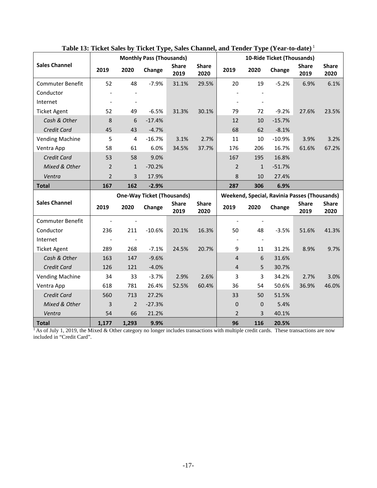|                         |                |                | <b>Monthly Pass (Thousands)</b>   |                      |                      |                |              | 10-Ride Ticket (Thousands)                          |                      |                      |
|-------------------------|----------------|----------------|-----------------------------------|----------------------|----------------------|----------------|--------------|-----------------------------------------------------|----------------------|----------------------|
| <b>Sales Channel</b>    | 2019           | 2020           | Change                            | <b>Share</b><br>2019 | <b>Share</b><br>2020 | 2019           | 2020         | Change                                              | <b>Share</b><br>2019 | <b>Share</b><br>2020 |
| <b>Commuter Benefit</b> | 52             | 48             | $-7.9%$                           | 31.1%                | 29.5%                | 20             | 19           | $-5.2%$                                             | 6.9%                 | 6.1%                 |
| Conductor               |                |                |                                   |                      |                      |                |              |                                                     |                      |                      |
| Internet                |                |                |                                   |                      |                      |                |              |                                                     |                      |                      |
| <b>Ticket Agent</b>     | 52             | 49             | $-6.5%$                           | 31.3%                | 30.1%                | 79             | 72           | $-9.2%$                                             | 27.6%                | 23.5%                |
| Cash & Other            | 8              | 6              | $-17.4%$                          |                      |                      | 12             | 10           | $-15.7%$                                            |                      |                      |
| <b>Credit Card</b>      | 45             | 43             | $-4.7%$                           |                      |                      | 68             | 62           | $-8.1%$                                             |                      |                      |
| <b>Vending Machine</b>  | 5              | $\overline{4}$ | $-16.7%$                          | 3.1%                 | 2.7%                 | 11             | 10           | $-10.9%$                                            | 3.9%                 | 3.2%                 |
| Ventra App              | 58             | 61             | 6.0%                              | 34.5%                | 37.7%                | 176            | 206          | 16.7%                                               | 61.6%                | 67.2%                |
| Credit Card             | 53             | 58             | 9.0%                              |                      |                      | 167            | 195          | 16.8%                                               |                      |                      |
| Mixed & Other           | $\overline{2}$ | $\mathbf{1}$   | $-70.2%$                          |                      |                      | $\overline{2}$ | $\mathbf{1}$ | $-51.7%$                                            |                      |                      |
| Ventra                  | $\overline{2}$ | 3              | 17.9%                             |                      |                      | $\,8$          | 10           | 27.4%                                               |                      |                      |
| <b>Total</b>            | 167            | 162            | $-2.9%$                           |                      |                      | 287            | 306          | 6.9%                                                |                      |                      |
|                         |                |                | <b>One-Way Ticket (Thousands)</b> |                      |                      |                |              | <b>Weekend, Special, Ravinia Passes (Thousands)</b> |                      |                      |
| <b>Sales Channel</b>    | 2019           | 2020           | Change                            | <b>Share</b><br>2019 | <b>Share</b><br>2020 | 2019           | 2020         | Change                                              | <b>Share</b><br>2019 | <b>Share</b><br>2020 |
| <b>Commuter Benefit</b> |                |                |                                   |                      |                      |                |              |                                                     |                      |                      |
| Conductor               | 236            | 211            | $-10.6%$                          | 20.1%                | 16.3%                | 50             | 48           | $-3.5%$                                             | 51.6%                | 41.3%                |
| Internet                |                |                |                                   |                      |                      |                |              |                                                     |                      |                      |
| <b>Ticket Agent</b>     | 289            | 268            | $-7.1%$                           | 24.5%                | 20.7%                | 9              | 11           | 31.2%                                               | 8.9%                 | 9.7%                 |
| Cash & Other            | 163            | 147            | $-9.6%$                           |                      |                      | 4              | 6            | 31.6%                                               |                      |                      |
| <b>Credit Card</b>      | 126            |                |                                   |                      |                      | $\overline{4}$ | 5            |                                                     |                      |                      |
|                         |                | 121            | $-4.0%$                           |                      |                      |                |              | 30.7%                                               |                      |                      |
| <b>Vending Machine</b>  | 34             | 33             | $-3.7%$                           | 2.9%                 | 2.6%                 | 3              | 3            | 34.2%                                               | 2.7%                 | 3.0%                 |
| Ventra App              | 618            | 781            | 26.4%                             | 52.5%                | 60.4%                | 36             | 54           | 50.6%                                               | 36.9%                | 46.0%                |
| Credit Card             | 560            | 713            | 27.2%                             |                      |                      | 33             | 50           | 51.5%                                               |                      |                      |
| Mixed & Other           | 3              | $\overline{2}$ | $-27.3%$                          |                      |                      | 0              | 0            | 5.4%                                                |                      |                      |
| Ventra                  | 54             | 66             | 21.2%                             |                      |                      | 2              | 3            | 40.1%                                               |                      |                      |

**Table 13: Ticket Sales by Ticket Type, Sales Channel, and Tender Type (Year-to-date)** <sup>1</sup>

 $<sup>1</sup>$  As of July 1, 2019, the Mixed & Other category no longer includes transactions with multiple credit cards. These transactions are now</sup> included in "Credit Card".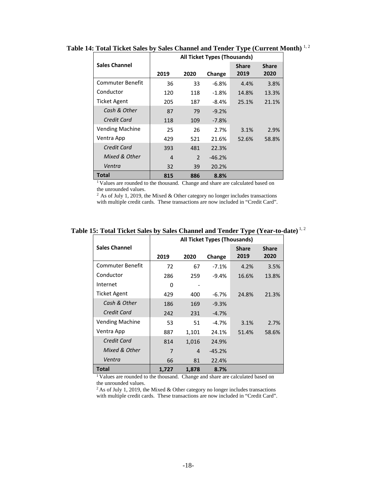|                         | All Ticket Types (Thousands) |                |          |              |              |  |  |  |  |
|-------------------------|------------------------------|----------------|----------|--------------|--------------|--|--|--|--|
| <b>Sales Channel</b>    |                              |                |          | <b>Share</b> | <b>Share</b> |  |  |  |  |
|                         | 2019                         | 2020           | Change   | 2019         | 2020         |  |  |  |  |
| <b>Commuter Benefit</b> | 36                           | 33             | $-6.8%$  | 4.4%         | 3.8%         |  |  |  |  |
| Conductor               | 120                          | 118            | $-1.8\%$ | 14.8%        | 13.3%        |  |  |  |  |
| Ticket Agent            | 205                          | 187            | $-8.4%$  | 25.1%        | 21.1%        |  |  |  |  |
| Cash & Other            | 87                           | 79             | $-9.2%$  |              |              |  |  |  |  |
| Credit Card             | 118                          | 109            | $-7.8%$  |              |              |  |  |  |  |
| <b>Vending Machine</b>  | 25                           | 26             | 2.7%     | 3.1%         | 2.9%         |  |  |  |  |
| Ventra App              | 429                          | 521            | 21.6%    | 52.6%        | 58.8%        |  |  |  |  |
| Credit Card             | 393                          | 481            | 22.3%    |              |              |  |  |  |  |
| Mixed & Other           | 4                            | $\overline{2}$ | $-46.2%$ |              |              |  |  |  |  |
| Ventra                  | 32                           | 39             | 20.2%    |              |              |  |  |  |  |
| Total                   | 815                          | 886            | 8.8%     |              |              |  |  |  |  |

**Table 14: Total Ticket Sales by Sales Channel and Tender Type (Current Month)** 1, 2

<sup>1</sup> Values are rounded to the thousand. Change and share are calculated based on the unrounded values.

 $2$  As of July 1, 2019, the Mixed & Other category no longer includes transactions with multiple credit cards. These transactions are now included in "Credit Card".

| Table 15: Total Ticket Sales by Sales Channel and Tender Type (Year-to-date) <sup>1,2</sup> |  |  |  |
|---------------------------------------------------------------------------------------------|--|--|--|
|---------------------------------------------------------------------------------------------|--|--|--|

|                        | <b>All Ticket Types (Thousands)</b> |       |          |              |              |  |  |
|------------------------|-------------------------------------|-------|----------|--------------|--------------|--|--|
| <b>Sales Channel</b>   |                                     |       |          | <b>Share</b> | <b>Share</b> |  |  |
|                        | 2019                                | 2020  | Change   | 2019         | 2020         |  |  |
| Commuter Benefit       | 72                                  | 67    | $-7.1\%$ | 4.2%         | 3.5%         |  |  |
| Conductor              | 286                                 | 259   | $-9.4%$  | 16.6%        | 13.8%        |  |  |
| Internet               | 0                                   |       |          |              |              |  |  |
| Ticket Agent           | 429                                 | 400   | $-6.7\%$ | 24.8%        | 21.3%        |  |  |
| Cash & Other           | 186                                 | 169   | $-9.3%$  |              |              |  |  |
| Credit Card            | 242                                 | 231   | $-4.7%$  |              |              |  |  |
| <b>Vending Machine</b> | 53                                  | 51    | -4.7%    | 3.1%         | 2.7%         |  |  |
| Ventra App             | 887                                 | 1,101 | 24.1%    | 51.4%        | 58.6%        |  |  |
| Credit Card            | 814                                 | 1,016 | 24.9%    |              |              |  |  |
| Mixed & Other          | 7                                   | 4     | $-45.2%$ |              |              |  |  |
| Ventra                 | 66                                  | 81    | 22.4%    |              |              |  |  |
| Total                  | 1,727                               | 1,878 | 8.7%     |              |              |  |  |

<sup>1</sup> Values are rounded to the thousand. Change and share are calculated based on the unrounded values.

2 As of July 1, 2019, the Mixed & Other category no longer includes transactions with multiple credit cards. These transactions are now included in "Credit Card".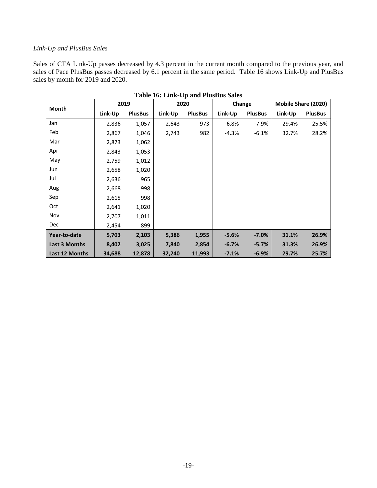#### *Link-Up and PlusBus Sales*

Sales of CTA Link-Up passes decreased by 4.3 percent in the current month compared to the previous year, and sales of Pace PlusBus passes decreased by 6.1 percent in the same period. Table 16 shows Link-Up and PlusBus sales by month for 2019 and 2020.

| Month          | 2019    |                | 2020    |                | Change  |                | Mobile Share (2020) |                |
|----------------|---------|----------------|---------|----------------|---------|----------------|---------------------|----------------|
|                | Link-Up | <b>PlusBus</b> | Link-Up | <b>PlusBus</b> | Link-Up | <b>PlusBus</b> | Link-Up             | <b>PlusBus</b> |
| Jan            | 2,836   | 1,057          | 2,643   | 973            | $-6.8%$ | $-7.9%$        | 29.4%               | 25.5%          |
| Feb            | 2,867   | 1,046          | 2,743   | 982            | $-4.3%$ | $-6.1%$        | 32.7%               | 28.2%          |
| Mar            | 2,873   | 1,062          |         |                |         |                |                     |                |
| Apr            | 2,843   | 1,053          |         |                |         |                |                     |                |
| May            | 2,759   | 1,012          |         |                |         |                |                     |                |
| Jun            | 2,658   | 1,020          |         |                |         |                |                     |                |
| Jul            | 2,636   | 965            |         |                |         |                |                     |                |
| Aug            | 2,668   | 998            |         |                |         |                |                     |                |
| Sep            | 2,615   | 998            |         |                |         |                |                     |                |
| Oct            | 2,641   | 1,020          |         |                |         |                |                     |                |
| Nov            | 2,707   | 1,011          |         |                |         |                |                     |                |
| <b>Dec</b>     | 2,454   | 899            |         |                |         |                |                     |                |
| Year-to-date   | 5,703   | 2,103          | 5,386   | 1,955          | $-5.6%$ | $-7.0%$        | 31.1%               | 26.9%          |
| Last 3 Months  | 8,402   | 3,025          | 7,840   | 2,854          | $-6.7%$ | $-5.7%$        | 31.3%               | 26.9%          |
| Last 12 Months | 34,688  | 12,878         | 32,240  | 11,993         | $-7.1%$ | $-6.9%$        | 29.7%               | 25.7%          |

**Table 16: Link-Up and PlusBus Sales**